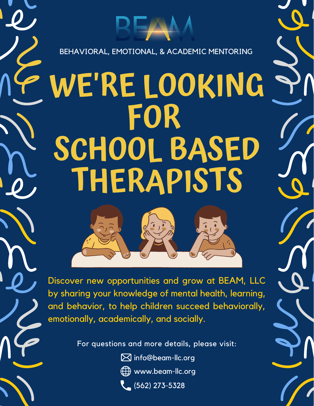# **WE'RE LOOKING FOR SCHOOL BASED THERAPISTS**

BEHAVIORAL, EMOTIONAL, & ACADEMIC MENTORING



Discover new opportunities and grow at BEAM, LLC by sharing your knowledge of mental health, learning, and behavior, to help children succeed behaviorally, emotionally, academically, and socially.

For questions and more details, please visit:

 $\boxtimes$  info@beam-llc.org www.beam-llc.org (562) 273-5328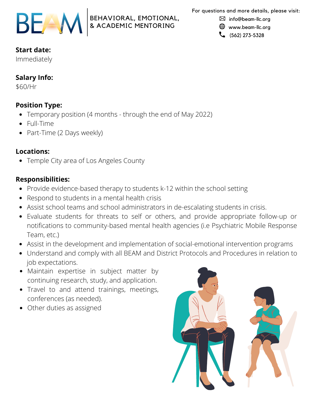

For questions and more details, please visit:

⊠ info@beam-llc.org

www.beam-llc.org

 $\binom{1}{2}$  (562) 273-5328

## **Start date:**

Immediately

### **Salary Info:**

\$60/Hr

#### **Position Type:**

- Temporary position (4 months through the end of May 2022)
- Full-Time
- Part-Time (2 Days weekly)

#### **Locations:**

Temple City area of Los Angeles County

#### **Responsibilities:**

• Provide evidence-based therapy to students k-12 within the school setting

BEHAVIORAL, EMOTIONAL, & ACADEMIC MENTORING

- Respond to students in a mental health crisis
- Assist school teams and school administrators in de-escalating students in crisis.
- Evaluate students for threats to self or others, and provide appropriate follow-up or notifications to community-based mental health agencies (i.e Psychiatric Mobile Response Team, etc.)
- Assist in the development and implementation of social-emotional intervention programs
- Understand and comply with all BEAM and District Protocols and Procedures in relation to job expectations.
- Maintain expertise in subject matter by continuing research, study, and application.
- Travel to and attend trainings, meetings, conferences (as needed).
- Other duties as assigned